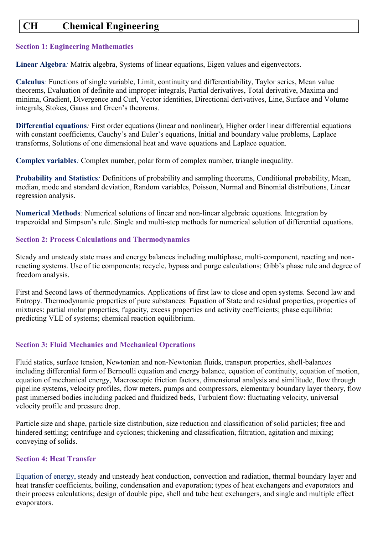# **CH Chemical Engineering**

## **Section 1: Engineering Mathematics**

**Linear Algebra***:* Matrix algebra, Systems of linear equations, Eigen values and eigenvectors.

**Calculus***:* Functions of single variable, Limit, continuity and differentiability, Taylor series, Mean value theorems, Evaluation of definite and improper integrals, Partial derivatives, Total derivative, Maxima and minima, Gradient, Divergence and Curl, Vector identities, Directional derivatives, Line, Surface and Volume integrals, Stokes, Gauss and Green's theorems.

**Differential equations***:* First order equations (linear and nonlinear), Higher order linear differential equations with constant coefficients, Cauchy's and Euler's equations, Initial and boundary value problems, Laplace transforms, Solutions of one dimensional heat and wave equations and Laplace equation.

**Complex variables***:* Complex number, polar form of complex number, triangle inequality.

**Probability and Statistics***:* Definitions of probability and sampling theorems, Conditional probability, Mean, median, mode and standard deviation, Random variables, Poisson, Normal and Binomial distributions, Linear regression analysis.

**Numerical Methods***:* Numerical solutions of linear and non-linear algebraic equations. Integration by trapezoidal and Simpson's rule. Single and multi-step methods for numerical solution of differential equations.

## **Section 2: Process Calculations and Thermodynamics**

Steady and unsteady state mass and energy balances including multiphase, multi-component, reacting and nonreacting systems. Use of tie components; recycle, bypass and purge calculations; Gibb's phase rule and degree of freedom analysis.

First and Second laws of thermodynamics. Applications of first law to close and open systems. Second law and Entropy. Thermodynamic properties of pure substances: Equation of State and residual properties, properties of mixtures: partial molar properties, fugacity, excess properties and activity coefficients; phase equilibria: predicting VLE of systems; chemical reaction equilibrium.

## **Section 3: Fluid Mechanics and Mechanical Operations**

Fluid statics, surface tension, Newtonian and non-Newtonian fluids, transport properties, shell-balances including differential form of Bernoulli equation and energy balance, equation of continuity, equation of motion, equation of mechanical energy, Macroscopic friction factors, dimensional analysis and similitude, flow through pipeline systems, velocity profiles, flow meters, pumps and compressors, elementary boundary layer theory, flow past immersed bodies including packed and fluidized beds, Turbulent flow: fluctuating velocity, universal velocity profile and pressure drop.

Particle size and shape, particle size distribution, size reduction and classification of solid particles; free and hindered settling; centrifuge and cyclones; thickening and classification, filtration, agitation and mixing; conveying of solids.

## **Section 4: Heat Transfer**

Equation of energy, steady and unsteady heat conduction, convection and radiation, thermal boundary layer and heat transfer coefficients, boiling, condensation and evaporation; types of heat exchangers and evaporators and their process calculations; design of double pipe, shell and tube heat exchangers, and single and multiple effect evaporators.